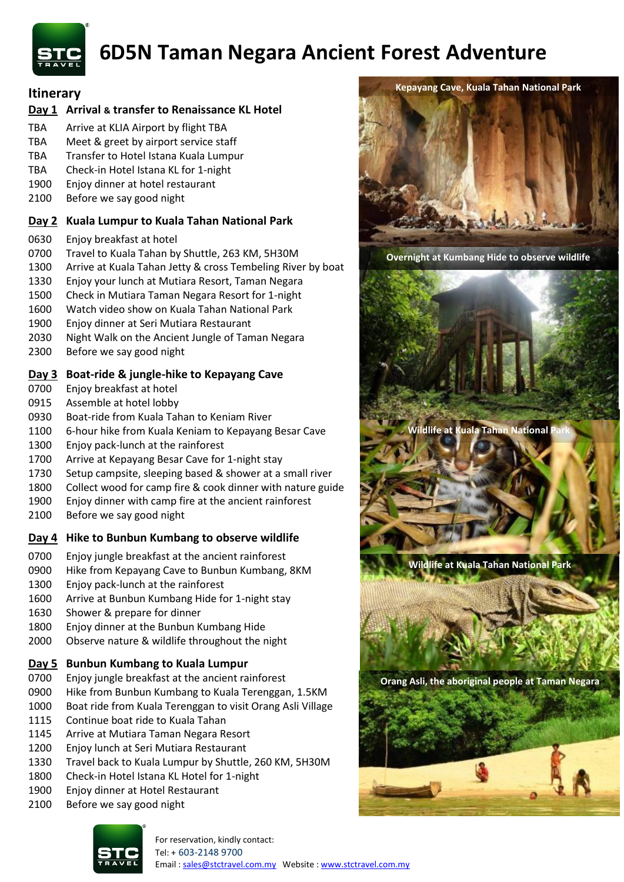

# **6D5N Taman Negara Ancient Forest Adventure**

## **Itinerary**

#### **Day 1 Arrival & transfer to Renaissance KL Hotel**

- TBA Arrive at KLIA Airport by flight TBA
- TBA Meet & greet by airport service staff
- TBA Transfer to Hotel Istana Kuala Lumpur
- TBA Check-in Hotel Istana KL for 1-night
- Enjoy dinner at hotel restaurant
- Before we say good night

## **Day 2 Kuala Lumpur to Kuala Tahan National Park**

- Enjoy breakfast at hotel
- Travel to Kuala Tahan by Shuttle, 263 KM, 5H30M
- 1300 Arrive at Kuala Tahan Jetty & cross Tembeling River by boat
- Enjoy your lunch at Mutiara Resort, Taman Negara
- Check in Mutiara Taman Negara Resort for 1-night
- Watch video show on Kuala Tahan National Park
- Enjoy dinner at Seri Mutiara Restaurant
- Night Walk on the Ancient Jungle of Taman Negara
- Before we say good night

## **Day 3 Boat-ride & jungle-hike to Kepayang Cave**

- Enjoy breakfast at hotel
- Assemble at hotel lobby
- Boat-ride from Kuala Tahan to Keniam River
- 6-hour hike from Kuala Keniam to Kepayang Besar Cave
- Enjoy pack-lunch at the rainforest
- Arrive at Kepayang Besar Cave for 1-night stay
- Setup campsite, sleeping based & shower at a small river
- Collect wood for camp fire & cook dinner with nature guide
- Enjoy dinner with camp fire at the ancient rainforest
- Before we say good night

#### **Day 4 Hike to Bunbun Kumbang to observe wildlife**

- Enjoy jungle breakfast at the ancient rainforest
- Hike from Kepayang Cave to Bunbun Kumbang, 8KM
- Enjoy pack-lunch at the rainforest
- Arrive at Bunbun Kumbang Hide for 1-night stay
- Shower & prepare for dinner
- Enjoy dinner at the Bunbun Kumbang Hide
- Observe nature & wildlife throughout the night

#### **Day 5 Bunbun Kumbang to Kuala Lumpur**

- Enjoy jungle breakfast at the ancient rainforest
- Hike from Bunbun Kumbang to Kuala Terenggan, 1.5KM
- Boat ride from Kuala Terenggan to visit Orang Asli Village
- Continue boat ride to Kuala Tahan
- Arrive at Mutiara Taman Negara Resort
- Enjoy lunch at Seri Mutiara Restaurant
- Travel back to Kuala Lumpur by Shuttle, 260 KM, 5H30M
- Check-in Hotel Istana KL Hotel for 1-night
- Enjoy dinner at Hotel Restaurant
- Before we say good night



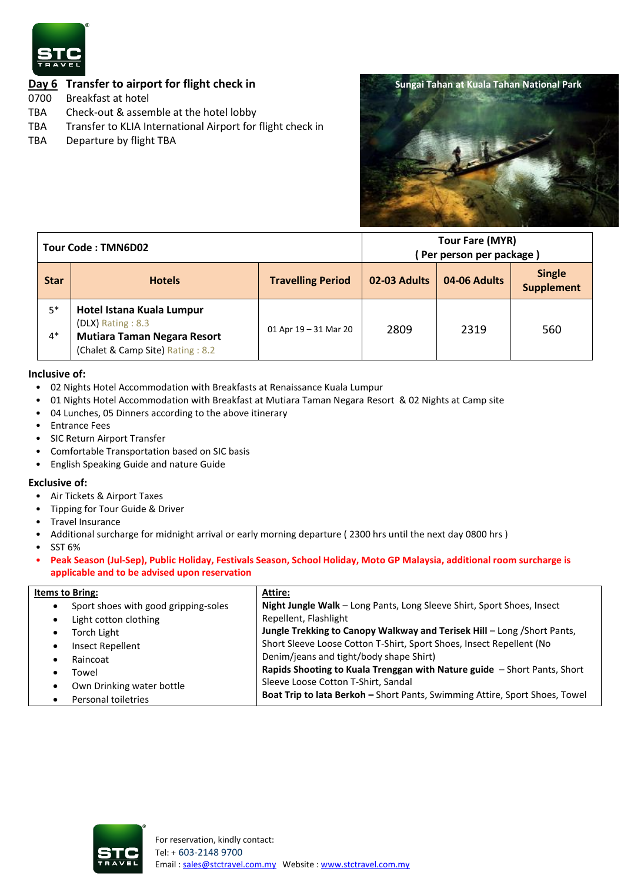

## **Day 6 Transfer to airport for flight check in**

- 0700 Breakfast at hotel
- TBA Check-out & assemble at the hotel lobby
- TBA Transfer to KLIA International Airport for flight check in
- TBA Departure by flight TBA



| Tour Code: TMN6D02 |                                                                                                                          |                          | Tour Fare (MYR)<br>Per person per package) |              |                                    |
|--------------------|--------------------------------------------------------------------------------------------------------------------------|--------------------------|--------------------------------------------|--------------|------------------------------------|
| <b>Star</b>        | <b>Hotels</b>                                                                                                            | <b>Travelling Period</b> | 02-03 Adults                               | 04-06 Adults | <b>Single</b><br><b>Supplement</b> |
| $5*$<br>$4*$       | Hotel Istana Kuala Lumpur<br>(DLX) Rating: 8.3<br><b>Mutiara Taman Negara Resort</b><br>(Chalet & Camp Site) Rating: 8.2 | 01 Apr $19 - 31$ Mar 20  | 2809                                       | 2319         | 560                                |

#### **Inclusive of:**

- 02 Nights Hotel Accommodation with Breakfasts at Renaissance Kuala Lumpur
- 01 Nights Hotel Accommodation with Breakfast at Mutiara Taman Negara Resort & 02 Nights at Camp site
- 04 Lunches, 05 Dinners according to the above itinerary
- Entrance Fees
- SIC Return Airport Transfer
- Comfortable Transportation based on SIC basis
- English Speaking Guide and nature Guide

#### **Exclusive of:**

- Air Tickets & Airport Taxes
- Tipping for Tour Guide & Driver
- Travel Insurance
- Additional surcharge for midnight arrival or early morning departure ( 2300 hrs until the next day 0800 hrs )
- SST 6%
- **Peak Season (Jul-Sep), Public Holiday, Festivals Season, School Holiday, Moto GP Malaysia, additional room surcharge is applicable and to be advised upon reservation**

| <b>Items to Bring:</b>               | Attire:                                                                     |  |  |  |
|--------------------------------------|-----------------------------------------------------------------------------|--|--|--|
| Sport shoes with good gripping-soles | Night Jungle Walk - Long Pants, Long Sleeve Shirt, Sport Shoes, Insect      |  |  |  |
| Light cotton clothing                | Repellent, Flashlight                                                       |  |  |  |
| Torch Light                          | Jungle Trekking to Canopy Walkway and Terisek Hill - Long / Short Pants,    |  |  |  |
| Insect Repellent                     | Short Sleeve Loose Cotton T-Shirt, Sport Shoes, Insect Repellent (No        |  |  |  |
| Raincoat                             | Denim/jeans and tight/body shape Shirt)                                     |  |  |  |
| Towel                                | Rapids Shooting to Kuala Trenggan with Nature guide - Short Pants, Short    |  |  |  |
| Own Drinking water bottle            | Sleeve Loose Cotton T-Shirt, Sandal                                         |  |  |  |
| Personal toiletries                  | Boat Trip to lata Berkoh - Short Pants, Swimming Attire, Sport Shoes, Towel |  |  |  |